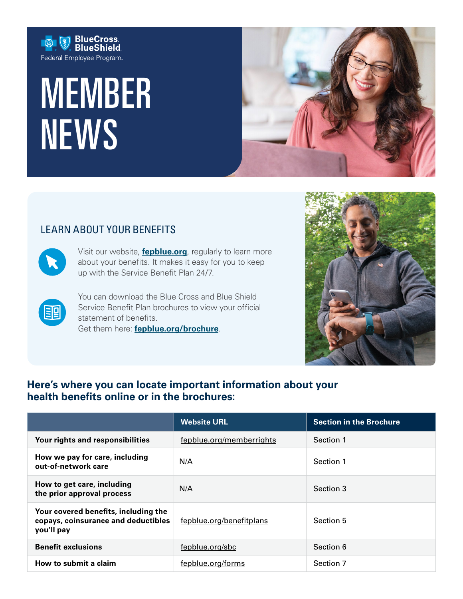

# MEMBER NEWS



# LEARN ABOUT YOUR BENEFITS



Visit our website, **[fepblue.org](https://www.fepblue.org/)**, regularly to learn more about your benefits. It makes it easy for you to keep up with the Service Benefit Plan 24/7.

国

You can download the Blue Cross and Blue Shield Service Benefit Plan brochures to view your official statement of benefits. Get them here: **[fepblue.org/brochure](https://www.fepblue.org/plan-brochures?utm_campaign=brochure&utm_source=(redirect)&utm_medium=vanity)**.



# **Here's where you can locate important information about your**  health benefits online or in the brochures:

|                                                                                           | <b>Website URL</b>       | <b>Section in the Brochure</b> |
|-------------------------------------------------------------------------------------------|--------------------------|--------------------------------|
| Your rights and responsibilities                                                          | fepblue.org/memberrights | Section 1                      |
| How we pay for care, including<br>out-of-network care                                     | N/A                      | Section 1                      |
| How to get care, including<br>the prior approval process                                  | N/A                      | Section 3                      |
| Your covered benefits, including the<br>copays, coinsurance and deductibles<br>you'll pay | fepblue.org/benefitplans | Section 5                      |
| <b>Benefit exclusions</b>                                                                 | fepblue.org/sbc          | Section 6                      |
| How to submit a claim                                                                     | fepblue.org/forms        | Section 7                      |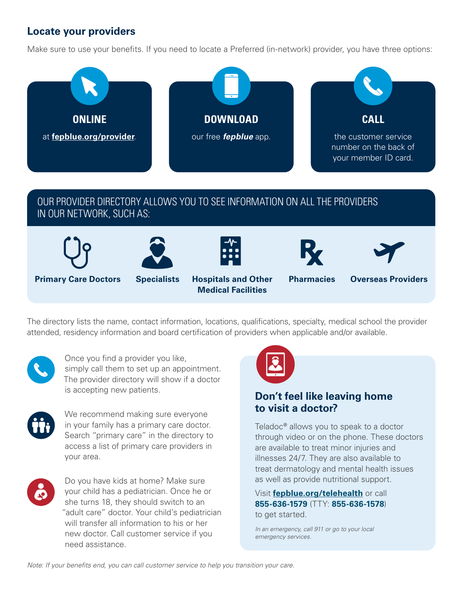# **Locate your providers**

Make sure to use your benefts. If you need to locate a Preferred (in-network) provider, you have three options:



# OUR PROVIDER DIRECTORY ALLOWS YOU TO SEE INFORMATION ON ALL THE PROVIDERS IN OUR NETWORK, SUCH AS:











**Primary Care Doctors Specialists Hospitals and Other Pharmacies Overseas Providers Medical Facilities** 



The directory lists the name, contact information, locations, qualifcations, specialty, medical school the provider attended, residency information and board certification of providers when applicable and/or available.



Once you find a provider you like, simply call them to set up an appointment. The provider directory will show if a doctor is accepting new patients.



We recommend making sure everyone in your family has a primary care doctor. Search "primary care" in the directory to access a list of primary care providers in your area.



Do you have kids at home? Make sure your child has a pediatrician. Once he or she turns 18, they should switch to an "adult care" doctor. Your child's pediatrician will transfer all information to his or her new doctor. Call customer service if you need assistance.



# **Don't feel like leaving home to visit a doctor?**

Teladoc**®** allows you to speak to a doctor through video or on the phone. These doctors are available to treat minor injuries and illnesses 24/7. They are also available to treat dermatology and mental health issues as well as provide nutritional support.

 **855-636-1579** (TTY: **855-636-1578**) Visit **[fepblue.org/telehealth](https://www.fepblue.org/find-doctor/telehealth-services)** or call to get started.

*In an emergency, call 911 or go to your local emergency services.* 

*Note: If your benefts end, you can call customer service to help you transition your care.*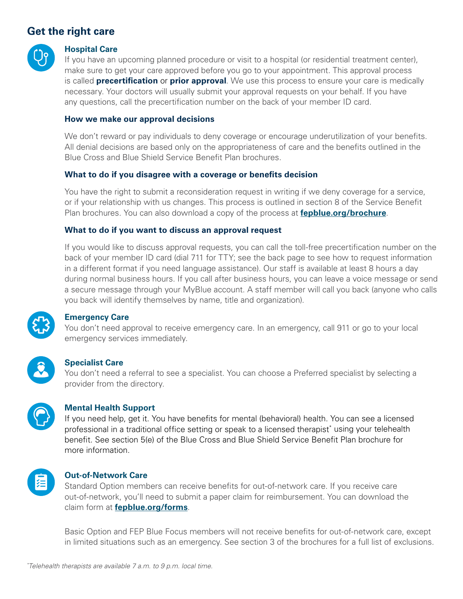# **Get the right care**



# **Hospital Care**

If you have an upcoming planned procedure or visit to a hospital (or residential treatment center), make sure to get your care approved before you go to your appointment. This approval process is called **precertifcation** or **prior approval**. We use this process to ensure your care is medically necessary. Your doctors will usually submit your approval requests on your behalf. If you have any questions, call the precertifcation number on the back of your member ID card.

#### **How we make our approval decisions**

We don't reward or pay individuals to deny coverage or encourage underutilization of your benefits. All denial decisions are based only on the appropriateness of care and the benefts outlined in the Blue Cross and Blue Shield Service Benefit Plan brochures.

## **What to do if you disagree with a coverage or benefts decision**

You have the right to submit a reconsideration request in writing if we deny coverage for a service, or if your relationship with us changes. This process is outlined in section 8 of the Service Beneft Plan brochures. You can also download a copy of the process at **[fepblue.org/brochure](https://www.fepblue.org/benefit-plans/benefit-plans-brochures-and-forms?utm_campaign=Brochure&utm_source=(redirect)&utm_medium=vanity)**.

#### **What to do if you want to discuss an approval request**

If you would like to discuss approval requests, you can call the toll-free precertifcation number on the back of your member ID card (dial 711 for TTY; see the back page to see how to request information in a different format if you need language assistance). Our staff is available at least 8 hours a day during normal business hours. If you call after business hours, you can leave a voice message or send a secure message through your MyBlue account. A staff member will call you back (anyone who calls you back will identify themselves by name, title and organization).



# **Emergency Care**

You don't need approval to receive emergency care. In an emergency, call 911 or go to your local emergency services immediately.



# **Specialist Care**

You don't need a referral to see a specialist. You can choose a Preferred specialist by selecting a provider from the directory.



## **Mental Health Support**

If you need help, get it. You have benefts for mental (behavioral) health. You can see a licensed professional in a traditional office setting or speak to a licensed therapist\* using your telehealth beneft. See section 5(e) of the Blue Cross and Blue Shield Service Beneft Plan brochure for more information.



## **Out-of-Network Care**

Standard Option members can receive benefits for out-of-network care. If you receive care out-of-network, you'll need to submit a paper claim for reimbursement. You can download the claim form at **[fepblue.org/forms](https://www.fepblue.org/benefit-plans/benefit-plans-brochures-and-forms#forms)**.

Basic Option and FEP Blue Focus members will not receive benefts for out-of-network care, except in limited situations such as an emergency. See section 3 of the brochures for a full list of exclusions.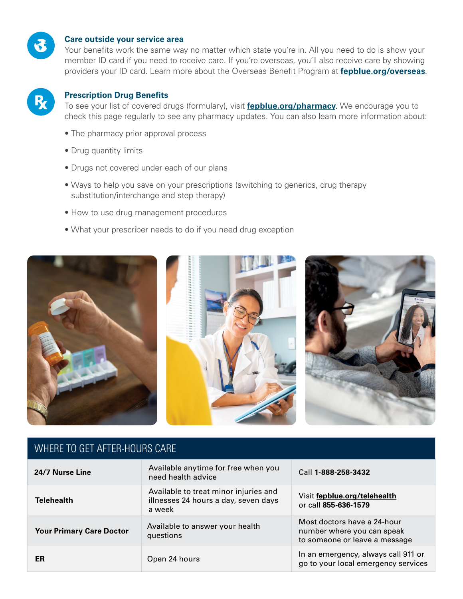

#### **Care outside your service area**

Your benefits work the same way no matter which state you're in. All you need to do is show your member ID card if you need to receive care. If you're overseas, you'll also receive care by showing providers your ID card. Learn more about the Overseas Beneft Program at **[fepblue.org/overseas](https://www.fepblue.org/overseas-coverage)**.



#### **Prescription Drug Benefts**

To see your list of covered drugs (formulary), visit **[fepblue.org/pharmacy](https://www.fepblue.org/pharmacy)**. We encourage you to check this page regularly to see any pharmacy updates. You can also learn more information about:

- The pharmacy prior approval process
- Drug quantity limits
- Drugs not covered under each of our plans
- Ways to help you save on your prescriptions (switching to generics, drug therapy substitution/interchange and step therapy)
- How to use drug management procedures
- What your prescriber needs to do if you need drug exception



# WHERE TO GET AFTER-HOURS CARE

| 24/7 Nurse Line                 | Available anytime for free when you<br>need health advice                               | Call 1-888-258-3432                                                                        |
|---------------------------------|-----------------------------------------------------------------------------------------|--------------------------------------------------------------------------------------------|
| <b>Telehealth</b>               | Available to treat minor injuries and<br>illnesses 24 hours a day, seven days<br>a week | Visit fepblue.org/telehealth<br>or call 855-636-1579                                       |
| <b>Your Primary Care Doctor</b> | Available to answer your health<br>questions                                            | Most doctors have a 24-hour<br>number where you can speak<br>to someone or leave a message |
| ER                              | Open 24 hours                                                                           | In an emergency, always call 911 or<br>go to your local emergency services                 |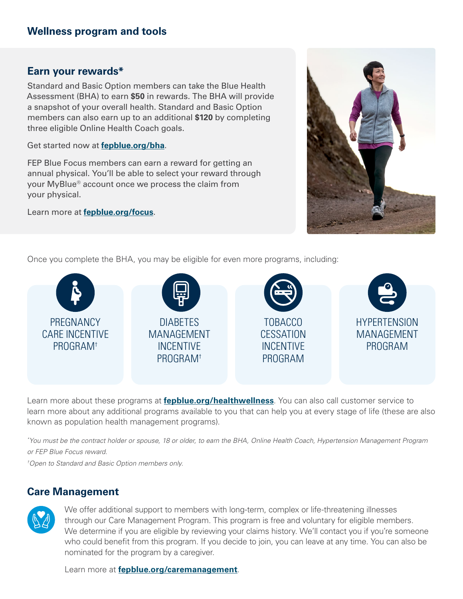# **Earn your rewards\***

Standard and Basic Option members can take the Blue Health Assessment (BHA) to earn **\$50** in rewards. The BHA will provide a snapshot of your overall health. Standard and Basic Option members can also earn up to an additional **\$120** by completing three eligible Online Health Coach goals.

Get started now at **[fepblue.org/bha](https://www.fepblue.org/health-management-tools/blue-health-assessment?utm_campaign=BHA&utm_source=(redirect)&utm_medium=vanity)**.

FEP Blue Focus members can earn a reward for getting an annual physical. You'll be able to select your reward through your MyBlue® account once we process the claim from your physical.

Learn more at **[fepblue.org/focus](https://www.fepblue.org/blue-focus-health-plan)**.



Once you complete the BHA, you may be eligible for even more programs, including:



Learn more about these programs at **[fepblue.org/healthwellness](https://www.fepblue.org/manage-your-health/incentives-discounts/incentives-discounts)**. You can also call customer service to learn more about any additional programs available to you that can help you at every stage of life (these are also known as population health management programs).

*\* You must be the contract holder or spouse, 18 or older, to earn the BHA, Online Health Coach, Hypertension Management Program or FEP Blue Focus reward.* 

*† Open to Standard and Basic Option members only.* 

# **Care Management**



We offer additional support to members with long-term, complex or life-threatening illnesses through our Care Management Program. This program is free and voluntary for eligible members. We determine if you are eligible by reviewing your claims history. We'll contact you if you're someone who could benefit from this program. If you decide to join, you can leave at any time. You can also be nominated for the program by a caregiver.

Learn more at **[fepblue.org/caremanagement](https://www.fepblue.org/manage-your-health/managing-specific-conditions/care-management?utm_campaign=caremanagement&utm_source=(redirect)&utm_medium=vanity&utm_content=online)**.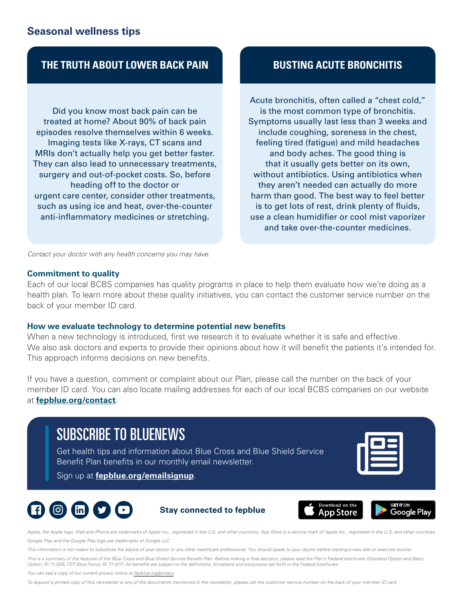# **Seasonal wellness tips**

# **THE TRUTH ABOUT LOWER BACK PAIN BUSTING ACUTE BRONCHITIS**

Did you know most back pain can be treated at home? About 90% of back pain episodes resolve themselves within 6 weeks. Imaging tests like X-rays, CT scans and MRIs don't actually help you get better faster. They can also lead to unnecessary treatments, surgery and out-of-pocket costs. So, before heading off to the doctor or urgent care center, consider other treatments, such as using ice and heat, over-the-counter anti-infammatory medicines or stretching.

Acute bronchitis, often called a "chest cold," is the most common type of bronchitis. Symptoms usually last less than 3 weeks and include coughing, soreness in the chest, feeling tired (fatigue) and mild headaches and body aches. The good thing is that it usually gets better on its own, without antibiotics. Using antibiotics when they aren't needed can actually do more harm than good. The best way to feel better is to get lots of rest, drink plenty of fuids, use a clean humidifer or cool mist vaporizer and take over-the-counter medicines.

*Contact your doctor with any health concerns you may have.* 

#### **Commitment to quality**

Each of our local BCBS companies has quality programs in place to help them evaluate how we're doing as a health plan. To learn more about these quality initiatives, you can contact the customer service number on the back of your member ID card.

#### **How we evaluate technology to determine potential new benefts**

When a new technology is introduced, first we research it to evaluate whether it is safe and effective. We also ask doctors and experts to provide their opinions about how it will benefit the patients it's intended for. This approach informs decisions on new benefits.

If you have a question, comment or complaint about our Plan, please call the number on the back of your member ID card. You can also locate mailing addresses for each of our local BCBS companies on our website at **[fepblue.org/contact](https://www.fepblue.org/contact-us?utm_campaign=Contact&utm_source=(redirect)&utm_medium=vanity)**.

# SUBSCRIBE TO BLUENEWS

Get health tips and information about Blue Cross and Blue Shield Service Benefit Plan benefits in our monthly email newsletter.

Sign up at **[fepblue.org/emailsignup](https://www.fepblue.org/email-sign-up)**.









Apple, the Apple logo, iPad and iPhone are trademarks of Apple Inc., registered in the U.S. and other countries. App Store is a service mark of Apple Inc., registered in the U.S. and other countries. *Google Play and the Google Play logo are trademarks of Google LLC.* 

*This information is not meant to substitute the advice of your doctor or any other healthcare professional. You should speak to your doctor before starting a new diet or exercise routine.* 

*This is a summary of the features of the Blue Cross and Blue Shield Service Beneft Plan. Before making a fnal decision, please read the Plan's Federal brochures (Standard Option and Basic Option: RI 71-005; FEP Blue Focus: RI 71-017). All benefts are subject to the defnitions, limitations and exclusions set forth in the Federal brochures.* 

*You can see a copy of our current privacy notice at [fepblue.org/privacy.](https://www.fepblue.org/legal/privacy-policy)* 

*To request a printed copy of this newsletter or any of the documents mentioned in the newsletter, please call the customer service number on the back of your member ID card.*